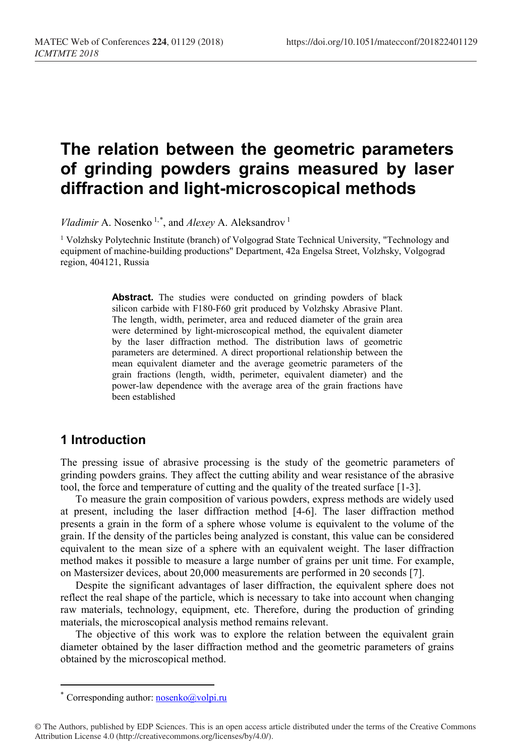# **The relation between the geometric parameters of grinding powders grains measured by laser diffraction and light-microscopical methods**

*Vladimir* A. Nosenko<sup>1,[\\*](#page-0-0)</sup>, and *Alexey* A. Aleksandrov<sup>1</sup>

<sup>1</sup> Volzhsky Polytechnic Institute (branch) of Volgograd State Technical University, "Technology and equipment of machine-building productions" Department, 42a Engelsa Street, Volzhsky, Volgograd region, 404121, Russia

> **Abstract.** The studies were conducted on grinding powders of black silicon carbide with F180-F60 grit produced by Volzhsky Abrasive Plant. The length, width, perimeter, area and reduced diameter of the grain area were determined by light-microscopical method, the equivalent diameter by the laser diffraction method. The distribution laws of geometric parameters are determined. A direct proportional relationship between the mean equivalent diameter and the average geometric parameters of the grain fractions (length, width, perimeter, equivalent diameter) and the power-law dependence with the average area of the grain fractions have been established

## **1 Introduction**

The pressing issue of abrasive processing is the study of the geometric parameters of grinding powders grains. They affect the cutting ability and wear resistance of the abrasive tool, the force and temperature of cutting and the quality of the treated surface [1-3].

To measure the grain composition of various powders, express methods are widely used at present, including the laser diffraction method [4-6]. The laser diffraction method presents a grain in the form of a sphere whose volume is equivalent to the volume of the grain. If the density of the particles being analyzed is constant, this value can be considered equivalent to the mean size of a sphere with an equivalent weight. The laser diffraction method makes it possible to measure a large number of grains per unit time. For example, on Mastersizer devices, about 20,000 measurements are performed in 20 seconds [7].

Despite the significant advantages of laser diffraction, the equivalent sphere does not reflect the real shape of the particle, which is necessary to take into account when changing raw materials, technology, equipment, etc. Therefore, during the production of grinding materials, the microscopical analysis method remains relevant.

The objective of this work was to explore the relation between the equivalent grain diameter obtained by the laser diffraction method and the geometric parameters of grains obtained by the microscopical method.

 $\overline{a}$ 

Corresponding author:  $nosenko@volpi.ru$ 

<span id="page-0-0"></span><sup>©</sup> The Authors, published by EDP Sciences. This is an open access article distributed under the terms of the Creative Commons Attribution License 4.0 (http://creativecommons.org/licenses/by/4.0/).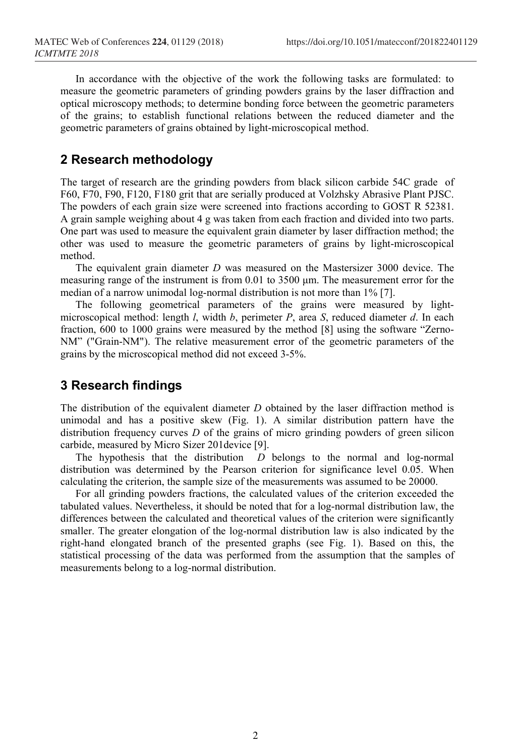In accordance with the objective of the work the following tasks are formulated: to measure the geometric parameters of grinding powders grains by the laser diffraction and optical microscopy methods; to determine bonding force between the geometric parameters of the grains; to establish functional relations between the reduced diameter and the geometric parameters of grains obtained by light-microscopical method.

#### **2 Research methodology**

The target of research are the grinding powders from black silicon carbide 54C grade of F60, F70, F90, F120, F180 grit that are serially produced at Volzhsky Abrasive Plant PJSC. The powders of each grain size were screened into fractions according to GOST R 52381. A grain sample weighing about 4 g was taken from each fraction and divided into two parts. One part was used to measure the equivalent grain diameter by laser diffraction method; the other was used to measure the geometric parameters of grains by light-microscopical method.

The equivalent grain diameter *D* was measured on the Mastersizer 3000 device. The measuring range of the instrument is from 0.01 to 3500 μm. The measurement error for the median of a narrow unimodal log-normal distribution is not more than 1% [7].

The following geometrical parameters of the grains were measured by lightmicroscopical method: length *l*, width *b*, perimeter *P*, area *S*, reduced diameter *d*. In each fraction, 600 to 1000 grains were measured by the method [8] using the software "Zerno-NM" ("Grain-NM"). The relative measurement error of the geometric parameters of the grains by the microscopical method did not exceed 3-5%.

#### **3 Research findings**

The distribution of the equivalent diameter *D* obtained by the laser diffraction method is unimodal and has a positive skew (Fig. 1). A similar distribution pattern have the distribution frequency curves *D* of the grains of micro grinding powders of green silicon carbide, measured by Micro Sizer 201device [9].

The hypothesis that the distribution *D* belongs to the normal and log-normal distribution was determined by the Pearson criterion for significance level 0.05. When calculating the criterion, the sample size of the measurements was assumed to be 20000.

For all grinding powders fractions, the calculated values of the criterion exceeded the tabulated values. Nevertheless, it should be noted that for a log-normal distribution law, the differences between the calculated and theoretical values of the criterion were significantly smaller. The greater elongation of the log-normal distribution law is also indicated by the right-hand elongated branch of the presented graphs (see Fig. 1). Based on this, the statistical processing of the data was performed from the assumption that the samples of measurements belong to a log-normal distribution.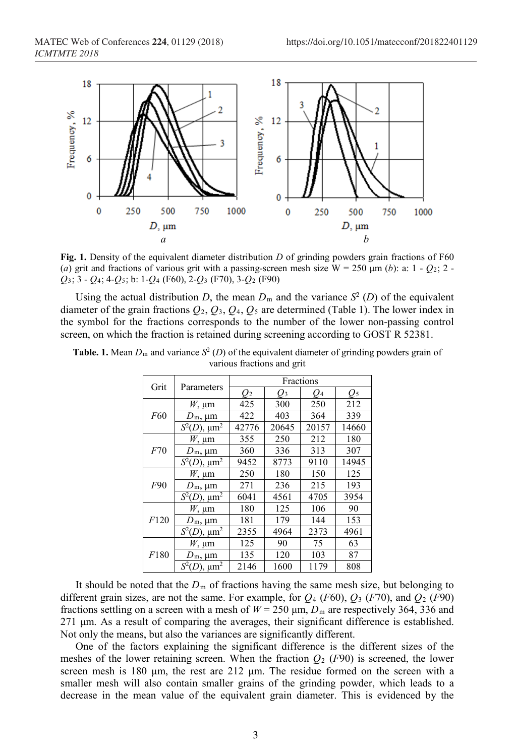

**Fig. 1.** Density of the equivalent diameter distribution *D* of grinding powders grain fractions of F60 (*a*) grit and fractions of various grit with a passing-screen mesh size  $W = 250 \text{ µm}$  (*b*): a: 1 -  $Q_2$ ; 2 -*Q*3; 3 - *Q*4; 4-*Q*5; b: 1-*Q*<sup>4</sup> (F60), 2-*Q*<sup>3</sup> (F70), 3-*Q*<sup>2</sup> (F90)

Using the actual distribution *D*, the mean  $D_m$  and the variance  $S^2(D)$  of the equivalent diameter of the grain fractions  $Q_2$ ,  $Q_3$ ,  $Q_4$ ,  $Q_5$  are determined (Table 1). The lower index in the symbol for the fractions corresponds to the number of the lower non-passing control screen, on which the fraction is retained during screening according to GOST R 52381.

| Grit | Parameters                      | Fractions |       |       |       |  |  |
|------|---------------------------------|-----------|-------|-------|-------|--|--|
|      |                                 | $Q_2$     | $O_3$ | 04    | $Q_5$ |  |  |
| F60  | $W$ , $\mu$ m                   | 425       | 300   | 250   | 212   |  |  |
|      | $D_m$ , $\mu$ m                 | 422       | 403   | 364   | 339   |  |  |
|      | $S^2(D)$ , $\mu m^2$            | 42776     | 20645 | 20157 | 14660 |  |  |
| F70  | $W$ , $\mu$ m                   | 355       | 250   | 212   | 180   |  |  |
|      | $D_{\rm m}$ , $\mu$ m           | 360       | 336   | 313   | 307   |  |  |
|      | $S^2(D)$ , $\mu$ m <sup>2</sup> | 9452      | 8773  | 9110  | 14945 |  |  |
| F90  | $W$ , $\mu$ m                   | 250       | 180   | 150   | 125   |  |  |
|      | $D_m$ , $\mu$ m                 | 271       | 236   | 215   | 193   |  |  |
|      | $S^2(D)$ , $\mu$ m <sup>2</sup> | 6041      | 4561  | 4705  | 3954  |  |  |
| F120 | $W$ , $\mu$ m                   | 180       | 125   | 106   | 90    |  |  |
|      | $D_{\rm m}$ , $\mu$ m           | 181       | 179   | 144   | 153   |  |  |
|      | $S^2(D)$ , $\mu m^2$            | 2355      | 4964  | 2373  | 4961  |  |  |
| F180 | $W$ , $\mu$ m                   | 125       | 90    | 75    | 63    |  |  |
|      | $D_{\rm m}$ , $\mu$ m           | 135       | 120   | 103   | 87    |  |  |
|      | $S^2(D)$ , $\mu m^2$            | 2146      | 1600  | 1179  | 808   |  |  |

**Table. 1.** Mean  $D_m$  and variance  $S^2(D)$  of the equivalent diameter of grinding powders grain of various fractions and grit

It should be noted that the  $D<sub>m</sub>$  of fractions having the same mesh size, but belonging to different grain sizes, are not the same. For example, for  $Q_4$  (*F*60),  $Q_3$  (*F*70), and  $Q_2$  (*F*90) fractions settling on a screen with a mesh of  $W = 250 \mu m$ ,  $D_m$  are respectively 364, 336 and 271 μm. As a result of comparing the averages, their significant difference is established. Not only the means, but also the variances are significantly different.

One of the factors explaining the significant difference is the different sizes of the meshes of the lower retaining screen. When the fraction  $Q_2$  ( $F90$ ) is screened, the lower screen mesh is 180 μm, the rest are 212 μm. The residue formed on the screen with a smaller mesh will also contain smaller grains of the grinding powder, which leads to a decrease in the mean value of the equivalent grain diameter. This is evidenced by the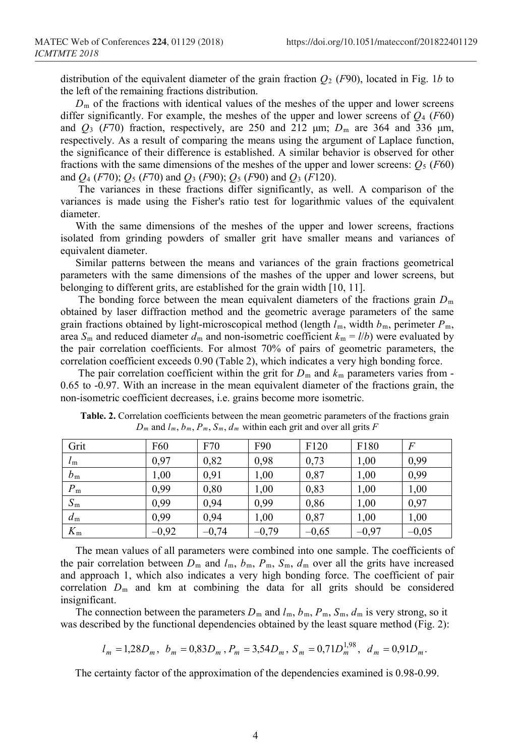distribution of the equivalent diameter of the grain fraction *Q*<sup>2</sup> (*F*90), located in Fig. 1*b* to the left of the remaining fractions distribution.

*D*<sup>m</sup> of the fractions with identical values of the meshes of the upper and lower screens differ significantly. For example, the meshes of the upper and lower screens of *Q*<sup>4</sup> (*F*60) and  $Q_3$  (*F*70) fraction, respectively, are 250 and 212  $\mu$ m;  $D_m$  are 364 and 336  $\mu$ m, respectively. As a result of comparing the means using the argument of Laplace function, the significance of their difference is established. A similar behavior is observed for other fractions with the same dimensions of the meshes of the upper and lower screens: *Q*<sup>5</sup> (*F*60) and *Q*<sup>4</sup> (*F*70); *Q*<sup>5</sup> (*F*70) and *Q*<sup>3</sup> (*F*90); *Q*<sup>5</sup> (*F*90) and *Q*<sup>3</sup> (*F*120).

The variances in these fractions differ significantly, as well. A comparison of the variances is made using the Fisher's ratio test for logarithmic values of the equivalent diameter.

With the same dimensions of the meshes of the upper and lower screens, fractions isolated from grinding powders of smaller grit have smaller means and variances of equivalent diameter.

Similar patterns between the means and variances of the grain fractions geometrical parameters with the same dimensions of the mashes of the upper and lower screens, but belonging to different grits, are established for the grain width [10, 11].

The bonding force between the mean equivalent diameters of the fractions grain  $D<sub>m</sub>$ obtained by laser diffraction method and the geometric average parameters of the same grain fractions obtained by light-microscopical method (length  $l_m$ , width  $b_m$ , perimeter  $P_m$ , area  $S_m$  and reduced diameter  $d_m$  and non-isometric coefficient  $k_m = l/b$ ) were evaluated by the pair correlation coefficients. For almost 70% of pairs of geometric parameters, the correlation coefficient exceeds 0.90 (Table 2), which indicates a very high bonding force.

The pair correlation coefficient within the grit for  $D_m$  and  $k_m$  parameters varies from -0.65 to -0.97. With an increase in the mean equivalent diameter of the fractions grain, the non-isometric coefficient decreases, i.e. grains become more isometric.

| Grit        | F60     | F70     | F90     | F <sub>120</sub> | F180    | $\,F$   |
|-------------|---------|---------|---------|------------------|---------|---------|
| $l_{\rm m}$ | 0,97    | 0,82    | 0,98    | 0,73             | 1,00    | 0,99    |
| $b_m$       | 1,00    | 0,91    | 1,00    | 0,87             | 1,00    | 0,99    |
| $P_{\rm m}$ | 0,99    | 0,80    | 1,00    | 0,83             | 1,00    | 1,00    |
| $S_{\rm m}$ | 0,99    | 0,94    | 0,99    | 0,86             | 1,00    | 0,97    |
| $d_{\rm m}$ | 0,99    | 0,94    | 1,00    | 0,87             | 1,00    | 1,00    |
| $K_{\rm m}$ | $-0,92$ | $-0,74$ | $-0,79$ | $-0,65$          | $-0,97$ | $-0,05$ |

**Table. 2.** Correlation coefficients between the mean geometric parameters of the fractions grain *Dm* and *lm*, *bm*, *Pm*, *Sm*, *dm* within each grit and over all grits *F*

The mean values of all parameters were combined into one sample. The coefficients of the pair correlation between  $D_m$  and  $l_m$ ,  $b_m$ ,  $P_m$ ,  $S_m$ ,  $d_m$  over all the grits have increased and approach 1, which also indicates a very high bonding force. The coefficient of pair correlation  $D<sub>m</sub>$  and km at combining the data for all grits should be considered insignificant.

The connection between the parameters  $D_m$  and  $l_m$ ,  $b_m$ ,  $P_m$ ,  $S_m$ ,  $d_m$  is very strong, so it was described by the functional dependencies obtained by the least square method (Fig. 2):

$$
l_m = 1,28D_m, b_m = 0,83D_m, P_m = 3,54D_m, S_m = 0,71D_m^{1,98}, d_m = 0,91D_m.
$$

The certainty factor of the approximation of the dependencies examined is 0.98-0.99.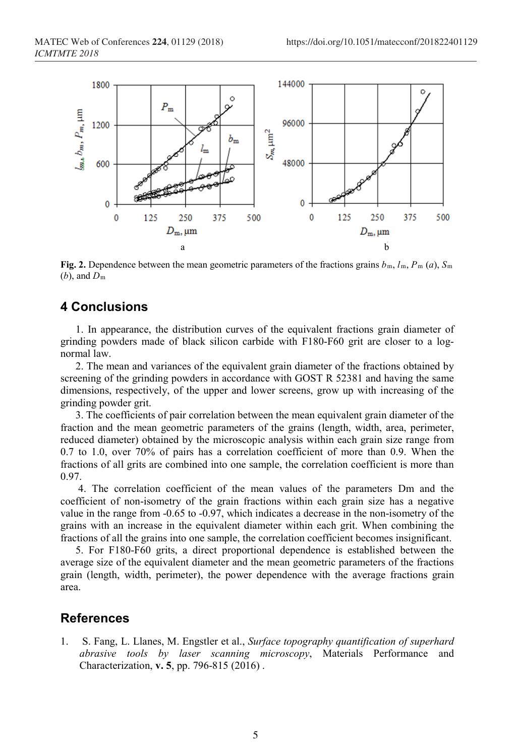

**Fig. 2.** Dependence between the mean geometric parameters of the fractions grains  $b_m$ ,  $l_m$ ,  $P_m$  (*a*),  $S_m$ (*b*), and *D*<sup>m</sup>

### **4 Conclusions**

1. In appearance, the distribution curves of the equivalent fractions grain diameter of grinding powders made of black silicon carbide with F180-F60 grit are closer to a lognormal law.

2. The mean and variances of the equivalent grain diameter of the fractions obtained by screening of the grinding powders in accordance with GOST R 52381 and having the same dimensions, respectively, of the upper and lower screens, grow up with increasing of the grinding powder grit.

3. The coefficients of pair correlation between the mean equivalent grain diameter of the fraction and the mean geometric parameters of the grains (length, width, area, perimeter, reduced diameter) obtained by the microscopic analysis within each grain size range from 0.7 to 1.0, over 70% of pairs has a correlation coefficient of more than 0.9. When the fractions of all grits are combined into one sample, the correlation coefficient is more than 0.97.

4. The correlation coefficient of the mean values of the parameters Dm and the coefficient of non-isometry of the grain fractions within each grain size has a negative value in the range from -0.65 to -0.97, which indicates a decrease in the non-isometry of the grains with an increase in the equivalent diameter within each grit. When combining the fractions of all the grains into one sample, the correlation coefficient becomes insignificant.

5. For F180-F60 grits, a direct proportional dependence is established between the average size of the equivalent diameter and the mean geometric parameters of the fractions grain (length, width, perimeter), the power dependence with the average fractions grain area.

#### **References**

1. S. Fang, L. Llanes, M. Engstler et al., *Surface topography quantification of superhard abrasive tools by laser scanning microscopy*, Materials Performance and Characterization, **v. 5**, pp. 796-815 (2016) .